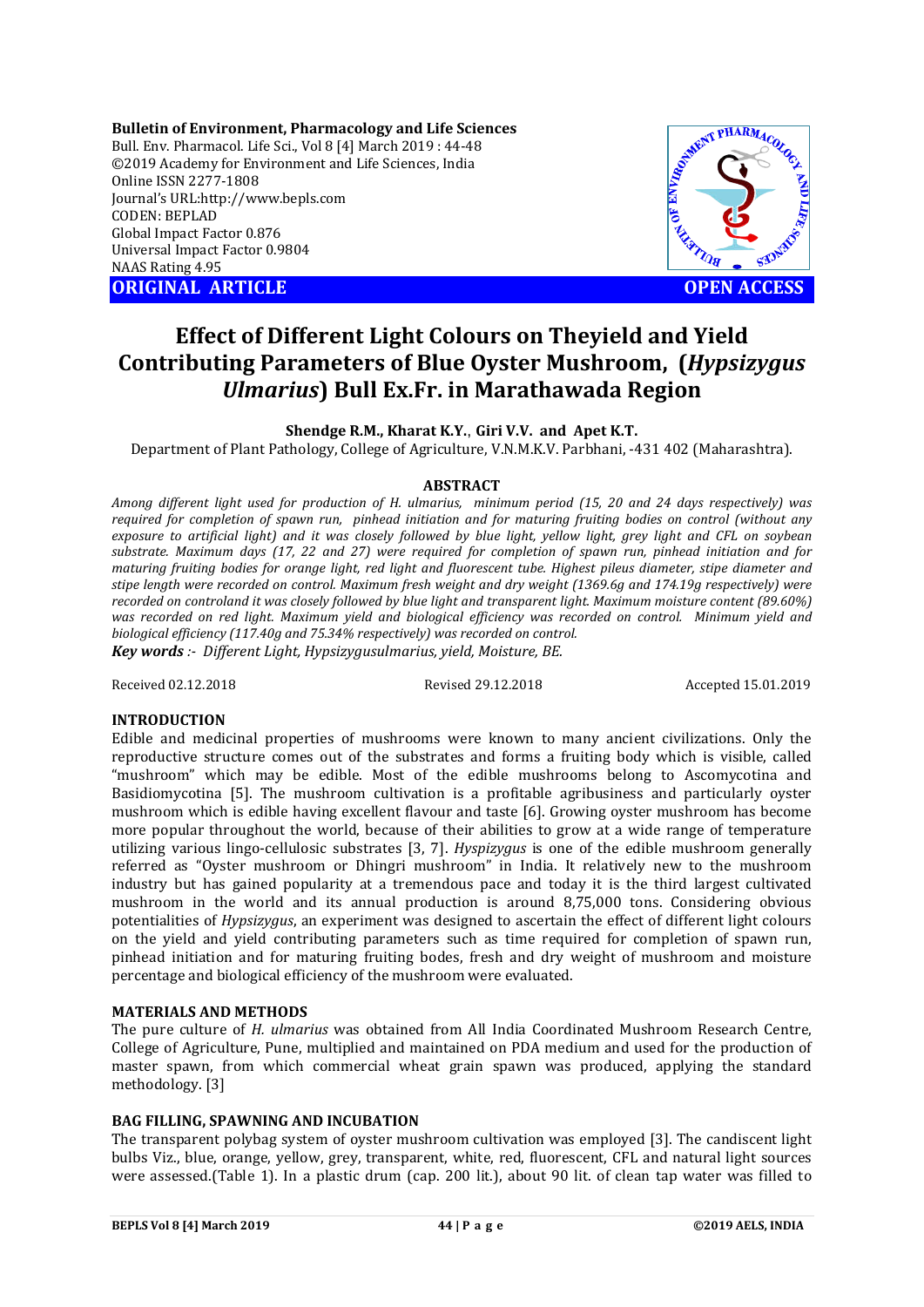**Bulletin of Environment, Pharmacology and Life Sciences** Bull. Env. Pharmacol. Life Sci., Vol 8 [4] March 2019 : 44-48 ©2019 Academy for Environment and Life Sciences, India Online ISSN 2277-1808 Journal's URL:http://www.bepls.com CODEN: BEPLAD Global Impact Factor 0.876 Universal Impact Factor 0.9804 NAAS Rating 4.95 **ORIGINAL ARTICLE OPEN ACCESS** 



# **Effect of Different Light Colours on Theyield and Yield Contributing Parameters of Blue Oyster Mushroom, (***Hypsizygus Ulmarius***) Bull Ex.Fr. in Marathawada Region**

# **Shendge R.M., Kharat K.Y.**, **Giri V.V. and Apet K.T.**

Department of Plant Pathology, College of Agriculture, V.N.M.K.V. Parbhani, -431 402 (Maharashtra).

# **ABSTRACT**

*Among different light used for production of H. ulmarius, minimum period (15, 20 and 24 days respectively) was required for completion of spawn run, pinhead initiation and for maturing fruiting bodies on control (without any exposure to artificial light) and it was closely followed by blue light, yellow light, grey light and CFL on soybean substrate. Maximum days (17, 22 and 27) were required for completion of spawn run, pinhead initiation and for maturing fruiting bodies for orange light, red light and fluorescent tube. Highest pileus diameter, stipe diameter and stipe length were recorded on control. Maximum fresh weight and dry weight (1369.6g and 174.19g respectively) were recorded on controland it was closely followed by blue light and transparent light. Maximum moisture content (89.60%) was recorded on red light. Maximum yield and biological efficiency was recorded on control. Minimum yield and biological efficiency (117.40g and 75.34% respectively) was recorded on control. Key words :- Different Light, Hypsizygusulmarius, yield, Moisture, BE.*

Received 02.12.2018 Revised 29.12.2018 Accepted 15.01.2019

# **INTRODUCTION**

Edible and medicinal properties of mushrooms were known to many ancient civilizations. Only the reproductive structure comes out of the substrates and forms a fruiting body which is visible, called "mushroom" which may be edible. Most of the edible mushrooms belong to Ascomycotina and Basidiomycotina [5]. The mushroom cultivation is a profitable agribusiness and particularly oyster mushroom which is edible having excellent flavour and taste [6]. Growing oyster mushroom has become more popular throughout the world, because of their abilities to grow at a wide range of temperature utilizing various lingo-cellulosic substrates [3, 7]. *Hyspizygus* is one of the edible mushroom generally referred as "Oyster mushroom or Dhingri mushroom" in India. It relatively new to the mushroom industry but has gained popularity at a tremendous pace and today it is the third largest cultivated mushroom in the world and its annual production is around 8,75,000 tons. Considering obvious potentialities of *Hypsizygus*, an experiment was designed to ascertain the effect of different light colours on the yield and yield contributing parameters such as time required for completion of spawn run, pinhead initiation and for maturing fruiting bodes, fresh and dry weight of mushroom and moisture percentage and biological efficiency of the mushroom were evaluated.

# **MATERIALS AND METHODS**

The pure culture of *H. ulmarius* was obtained from All India Coordinated Mushroom Research Centre, College of Agriculture, Pune, multiplied and maintained on PDA medium and used for the production of master spawn, from which commercial wheat grain spawn was produced, applying the standard methodology. [3]

# **BAG FILLING, SPAWNING AND INCUBATION**

The transparent polybag system of oyster mushroom cultivation was employed [3]. The candiscent light bulbs Viz., blue, orange, yellow, grey, transparent, white, red, fluorescent, CFL and natural light sources were assessed.(Table 1). In a plastic drum (cap. 200 lit.), about 90 lit. of clean tap water was filled to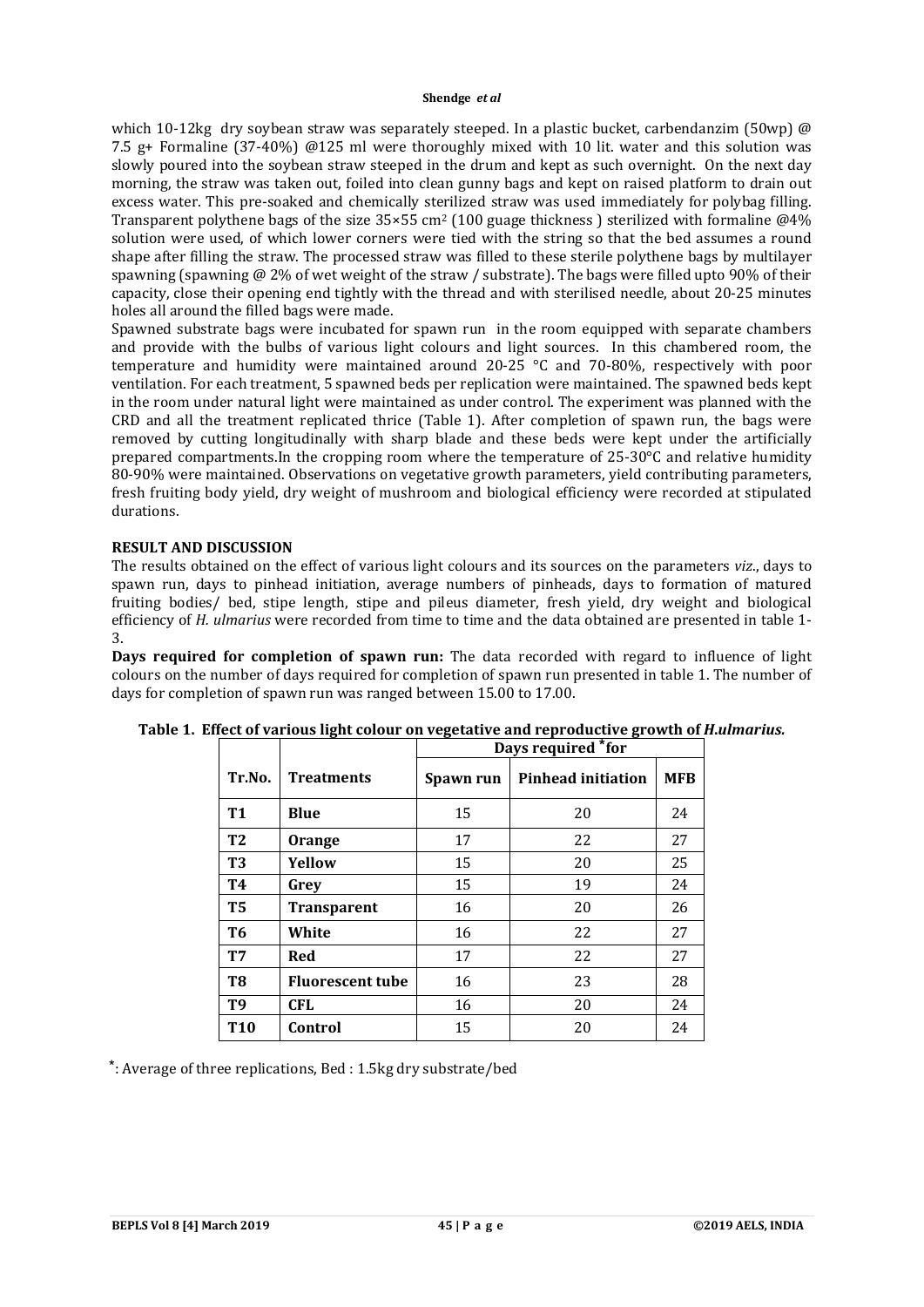#### **Shendge** *et al*

which 10-12kg dry soybean straw was separately steeped. In a plastic bucket, carbendanzim (50wp)  $\omega$ 7.5 g+ Formaline (37-40%) @125 ml were thoroughly mixed with 10 lit. water and this solution was slowly poured into the soybean straw steeped in the drum and kept as such overnight. On the next day morning, the straw was taken out, foiled into clean gunny bags and kept on raised platform to drain out excess water. This pre-soaked and chemically sterilized straw was used immediately for polybag filling. Transparent polythene bags of the size 35×55 cm<sup>2</sup> (100 guage thickness) sterilized with formaline @4% solution were used, of which lower corners were tied with the string so that the bed assumes a round shape after filling the straw. The processed straw was filled to these sterile polythene bags by multilayer spawning (spawning  $\omega$  2% of wet weight of the straw / substrate). The bags were filled upto 90% of their capacity, close their opening end tightly with the thread and with sterilised needle, about 20-25 minutes holes all around the filled bags were made.

Spawned substrate bags were incubated for spawn run in the room equipped with separate chambers and provide with the bulbs of various light colours and light sources. In this chambered room, the temperature and humidity were maintained around 20-25 °C and 70-80%, respectively with poor ventilation. For each treatment, 5 spawned beds per replication were maintained. The spawned beds kept in the room under natural light were maintained as under control. The experiment was planned with the CRD and all the treatment replicated thrice (Table 1). After completion of spawn run, the bags were removed by cutting longitudinally with sharp blade and these beds were kept under the artificially prepared compartments.In the cropping room where the temperature of 25-30°C and relative humidity 80-90% were maintained. Observations on vegetative growth parameters, yield contributing parameters, fresh fruiting body yield, dry weight of mushroom and biological efficiency were recorded at stipulated durations.

# **RESULT AND DISCUSSION**

The results obtained on the effect of various light colours and its sources on the parameters *viz*., days to spawn run, days to pinhead initiation, average numbers of pinheads, days to formation of matured fruiting bodies/ bed, stipe length, stipe and pileus diameter, fresh yield, dry weight and biological efficiency of *H. ulmarius* were recorded from time to time and the data obtained are presented in table 1- 3.

**Days required for completion of spawn run:** The data recorded with regard to influence of light colours on the number of days required for completion of spawn run presented in table 1. The number of days for completion of spawn run was ranged between 15.00 to 17.00.

|                |                         | Days required *for |                           |            |  |
|----------------|-------------------------|--------------------|---------------------------|------------|--|
| Tr.No.         | <b>Treatments</b>       | Spawn run          | <b>Pinhead initiation</b> | <b>MFB</b> |  |
| <b>T1</b>      | <b>Blue</b>             | 15                 | 20                        | 24         |  |
| T <sub>2</sub> | Orange                  | 17                 | 22                        | 27         |  |
| <b>T3</b>      | Yellow                  | 15                 | 20                        | 25         |  |
| <b>T4</b>      | Grev                    | 15                 | 19                        | 24         |  |
| T <sub>5</sub> | <b>Transparent</b>      | 16                 | 20                        | 26         |  |
| T <sub>6</sub> | White                   | 16                 | 22                        | 27         |  |
| <b>T7</b>      | Red                     | 17                 | 22                        | 27         |  |
| T8             | <b>Fluorescent tube</b> | 16                 | 23                        | 28         |  |
| <b>T9</b>      | <b>CFL</b>              | 16                 | 20                        | 24         |  |
| <b>T10</b>     | Control                 | 15                 | 20                        | 24         |  |

**Table 1. Effect of various light colour on vegetative and reproductive growth of** *H***.***ulmarius.*

⃰: Average of three replications, Bed : 1.5kg dry substrate/bed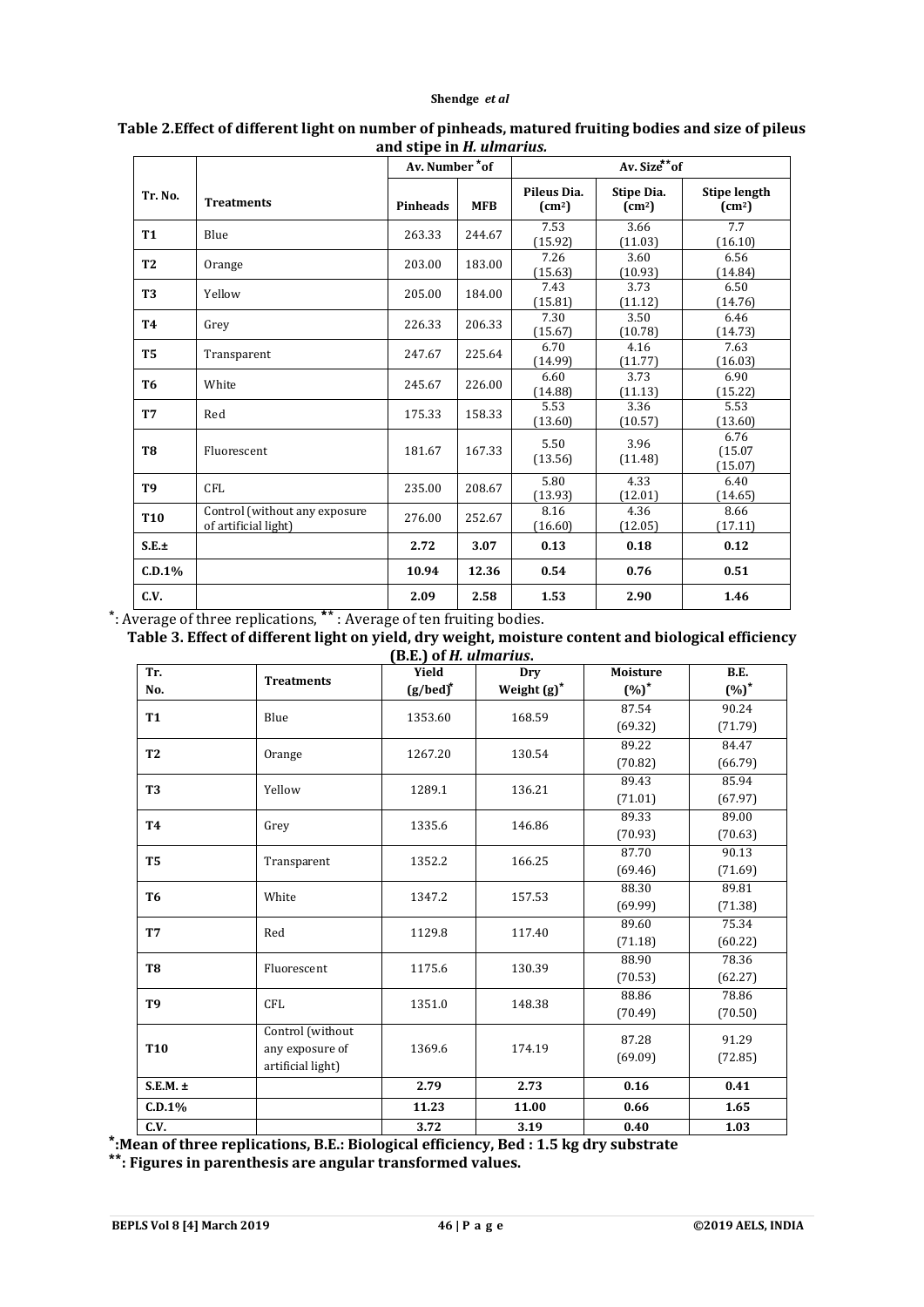## **Shendge** *et al*

|                 |                                                       | Av. Number *of  |            | Av. Size**of                 |                                      |                                               |
|-----------------|-------------------------------------------------------|-----------------|------------|------------------------------|--------------------------------------|-----------------------------------------------|
| Tr. No.         | <b>Treatments</b>                                     | <b>Pinheads</b> | <b>MFB</b> | Pileus Dia.<br>$\text{(cm)}$ | Stipe Dia.<br>$\text{(cm}^2\text{)}$ | <b>Stipe length</b><br>$\text{(cm}^2\text{)}$ |
| <b>T1</b>       | Blue                                                  | 263.33          | 244.67     | 7.53<br>(15.92)              | 3.66<br>(11.03)                      | 7.7<br>(16.10)                                |
| T <sub>2</sub>  | Orange                                                | 203.00          | 183.00     | 7.26<br>(15.63)              | 3.60<br>(10.93)                      | 6.56<br>(14.84)                               |
| T <sub>3</sub>  | Yellow                                                | 205.00          | 184.00     | 7.43<br>(15.81)              | 3.73<br>(11.12)                      | 6.50<br>(14.76)                               |
| <b>T4</b>       | Grey                                                  | 226.33          | 206.33     | 7.30<br>(15.67)              | 3.50<br>(10.78)                      | 6.46<br>(14.73)                               |
| <b>T5</b>       | Transparent                                           | 247.67          | 225.64     | 6.70<br>(14.99)              | 4.16<br>(11.77)                      | 7.63<br>(16.03)                               |
| T <sub>6</sub>  | White                                                 | 245.67          | 226.00     | 6.60<br>(14.88)              | 3.73<br>(11.13)                      | 6.90<br>(15.22)                               |
| <b>T7</b>       | Red                                                   | 175.33          | 158.33     | 5.53<br>(13.60)              | 3.36<br>(10.57)                      | 5.53<br>(13.60)                               |
| T <sub>8</sub>  | Fluorescent                                           | 181.67          | 167.33     | 5.50<br>(13.56)              | 3.96<br>(11.48)                      | 6.76<br>(15.07)<br>(15.07)                    |
| <b>T9</b>       | <b>CFL</b>                                            | 235.00          | 208.67     | 5.80<br>(13.93)              | 4.33<br>(12.01)                      | 6.40<br>(14.65)                               |
| T <sub>10</sub> | Control (without any exposure<br>of artificial light) | 276.00          | 252.67     | 8.16<br>(16.60)              | 4.36<br>(12.05)                      | 8.66<br>(17.11)                               |
| S.E.±           |                                                       | 2.72            | 3.07       | 0.13                         | 0.18                                 | 0.12                                          |
| C.D.1%          |                                                       | 10.94           | 12.36      | 0.54                         | 0.76                                 | 0.51                                          |
| C.V.            | t                                                     | 2.09            | 2.58       | 1.53                         | 2.90                                 | 1.46                                          |

# **Table 2.Effect of different light on number of pinheads, matured fruiting bodies and size of pileus and stipe in** *H. ulmarius.*

⃰: Average of three replications, ⃰ ⃰ : Average of ten fruiting bodies.

**Table 3. Effect of different light on yield, dry weight, moisture content and biological efficiency** 

| Tr.<br>No.      | <b>Treatments</b>                                        | Yield<br>$(g/bed)^*$ | Dry<br>Weight (g)* | <b>Moisture</b><br>$(\%)^*$ | B.E.<br>$(\%)^*$ |
|-----------------|----------------------------------------------------------|----------------------|--------------------|-----------------------------|------------------|
| <b>T1</b>       | Blue                                                     | 1353.60              | 168.59             | 87.54<br>(69.32)            | 90.24<br>(71.79) |
| T <sub>2</sub>  | Orange                                                   | 1267.20              | 130.54             | 89.22<br>(70.82)            | 84.47<br>(66.79) |
| T <sub>3</sub>  | Yellow                                                   | 1289.1               | 136.21             | 89.43<br>(71.01)            | 85.94<br>(67.97) |
| <b>T4</b>       | Grey                                                     | 1335.6               | 146.86             | 89.33<br>(70.93)            | 89.00<br>(70.63) |
| T <sub>5</sub>  | Transparent                                              | 1352.2               | 166.25             | 87.70<br>(69.46)            | 90.13<br>(71.69) |
| T6              | White                                                    | 1347.2               | 157.53             | 88.30<br>(69.99)            | 89.81<br>(71.38) |
| T7              | Red                                                      | 1129.8               | 117.40             | 89.60<br>(71.18)            | 75.34<br>(60.22) |
| T <sub>8</sub>  | Fluorescent                                              | 1175.6               | 130.39             | 88.90<br>(70.53)            | 78.36<br>(62.27) |
| T <sub>9</sub>  | <b>CFL</b>                                               | 1351.0               | 148.38             | 88.86<br>(70.49)            | 78.86<br>(70.50) |
| T <sub>10</sub> | Control (without<br>any exposure of<br>artificial light) | 1369.6               | 174.19             | 87.28<br>(69.09)            | 91.29<br>(72.85) |
| $S.E.M. \pm$    |                                                          | 2.79                 | 2.73               | 0.16                        | 0.41             |
| C.D.1%          |                                                          | 11.23                | 11.00              | 0.66                        | 1.65             |
| C.V.            |                                                          | 3.72                 | 3.19               | 0.40                        | 1.03             |

**⃰:Mean of three replications, B.E.: Biological efficiency, Bed : 1.5 kg dry substrate**

**⃰ ⃰: Figures in parenthesis are angular transformed values.**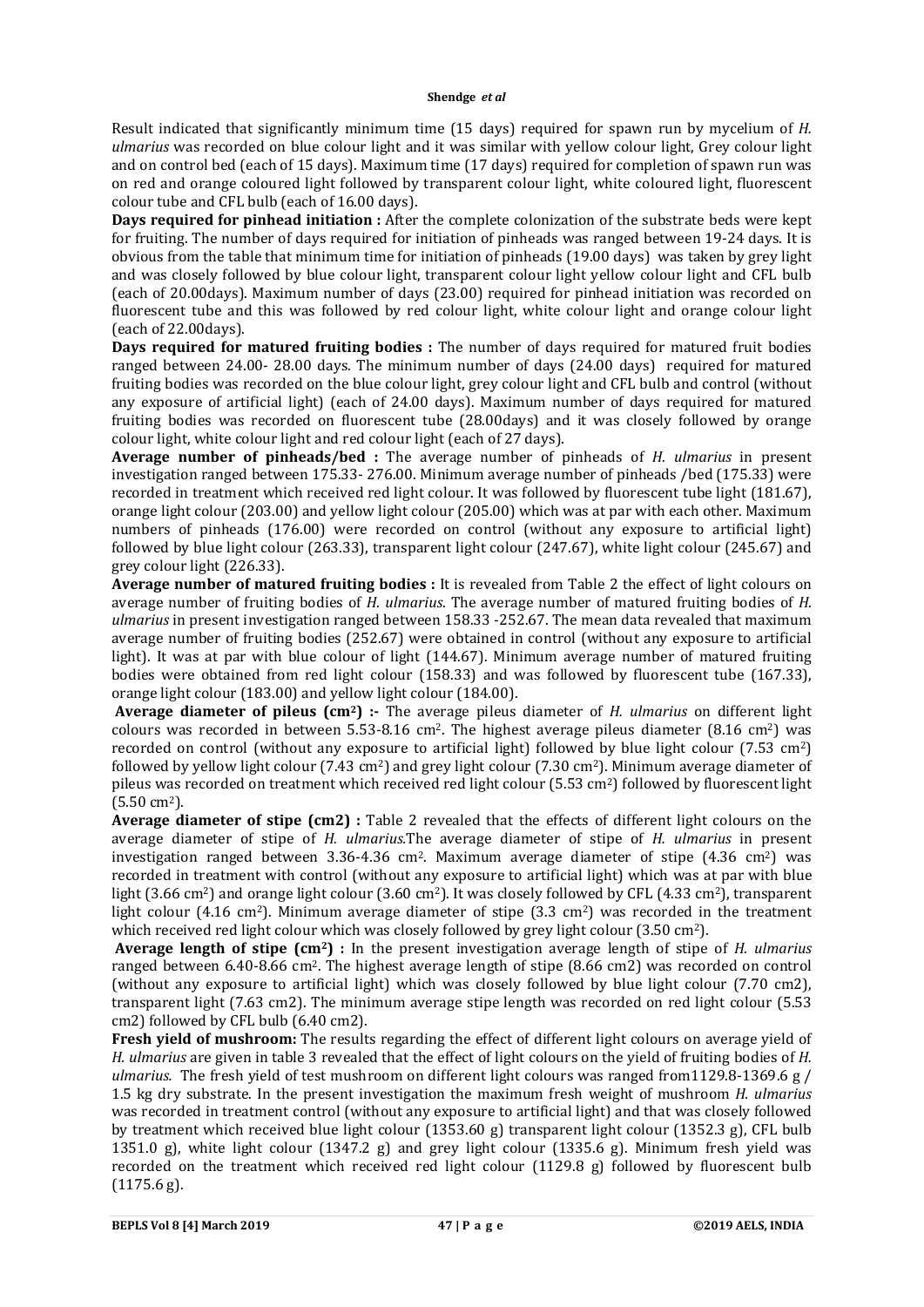Result indicated that significantly minimum time (15 days) required for spawn run by mycelium of *H. ulmarius* was recorded on blue colour light and it was similar with yellow colour light, Grey colour light and on control bed (each of 15 days). Maximum time (17 days) required for completion of spawn run was on red and orange coloured light followed by transparent colour light, white coloured light, fluorescent colour tube and CFL bulb (each of 16.00 days).

**Days required for pinhead initiation :** After the complete colonization of the substrate beds were kept for fruiting. The number of days required for initiation of pinheads was ranged between 19-24 days. It is obvious from the table that minimum time for initiation of pinheads (19.00 days) was taken by grey light and was closely followed by blue colour light, transparent colour light yellow colour light and CFL bulb (each of 20.00days). Maximum number of days (23.00) required for pinhead initiation was recorded on fluorescent tube and this was followed by red colour light, white colour light and orange colour light (each of 22.00days).

**Days required for matured fruiting bodies :** The number of days required for matured fruit bodies ranged between 24.00- 28.00 days. The minimum number of days (24.00 days) required for matured fruiting bodies was recorded on the blue colour light, grey colour light and CFL bulb and control (without any exposure of artificial light) (each of 24.00 days). Maximum number of days required for matured fruiting bodies was recorded on fluorescent tube (28.00days) and it was closely followed by orange colour light, white colour light and red colour light (each of 27 days).

**Average number of pinheads/bed :** The average number of pinheads of *H. ulmarius* in present investigation ranged between 175.33- 276.00. Minimum average number of pinheads /bed (175.33) were recorded in treatment which received red light colour. It was followed by fluorescent tube light (181.67), orange light colour (203.00) and yellow light colour (205.00) which was at par with each other. Maximum numbers of pinheads (176.00) were recorded on control (without any exposure to artificial light) followed by blue light colour (263.33), transparent light colour (247.67), white light colour (245.67) and grey colour light (226.33).

**Average number of matured fruiting bodies :** It is revealed from Table 2 the effect of light colours on average number of fruiting bodies of *H. ulmarius*. The average number of matured fruiting bodies of *H. ulmarius* in present investigation ranged between 158.33 -252.67. The mean data revealed that maximum average number of fruiting bodies (252.67) were obtained in control (without any exposure to artificial light). It was at par with blue colour of light (144.67). Minimum average number of matured fruiting bodies were obtained from red light colour (158.33) and was followed by fluorescent tube (167.33), orange light colour (183.00) and yellow light colour (184.00).

**Average diameter of pileus (cm2) :-** The average pileus diameter of *H. ulmarius* on different light colours was recorded in between  $5.53-8.16$  cm<sup>2</sup>. The highest average pileus diameter  $(8.16 \text{ cm}^2)$  was recorded on control (without any exposure to artificial light) followed by blue light colour (7.53 cm2) followed by yellow light colour (7.43 cm2) and grey light colour (7.30 cm2). Minimum average diameter of pileus was recorded on treatment which received red light colour (5.53 cm2) followed by fluorescent light (5.50 cm2).

**Average diameter of stipe (cm2) :** Table 2 revealed that the effects of different light colours on the average diameter of stipe of *H. ulmarius.*The average diameter of stipe of *H. ulmarius* in present investigation ranged between 3.36-4.36 cm<sup>2</sup>. Maximum average diameter of stipe  $(4.36 \text{ cm}^2)$  was recorded in treatment with control (without any exposure to artificial light) which was at par with blue light (3.66 cm<sup>2</sup>) and orange light colour (3.60 cm<sup>2</sup>). It was closely followed by CFL (4.33 cm<sup>2</sup>), transparent light colour  $(4.16 \text{ cm}^2)$ . Minimum average diameter of stipe  $(3.3 \text{ cm}^2)$  was recorded in the treatment which received red light colour which was closely followed by grey light colour (3.50 cm<sup>2</sup>).

**Average length of stipe (cm2) :** In the present investigation average length of stipe of *H. ulmarius* ranged between 6.40-8.66 cm2. The highest average length of stipe (8.66 cm2) was recorded on control (without any exposure to artificial light) which was closely followed by blue light colour (7.70 cm2), transparent light (7.63 cm2). The minimum average stipe length was recorded on red light colour (5.53 cm2) followed by CFL bulb (6.40 cm2).

**Fresh yield of mushroom:** The results regarding the effect of different light colours on average yield of *H. ulmarius* are given in table 3 revealed that the effect of light colours on the yield of fruiting bodies of *H. ulmarius.* The fresh yield of test mushroom on different light colours was ranged from1129.8-1369.6 g / 1.5 kg dry substrate. In the present investigation the maximum fresh weight of mushroom *H. ulmarius* was recorded in treatment control (without any exposure to artificial light) and that was closely followed by treatment which received blue light colour (1353.60 g) transparent light colour (1352.3 g), CFL bulb 1351.0 g), white light colour (1347.2 g) and grey light colour (1335.6 g). Minimum fresh yield was recorded on the treatment which received red light colour (1129.8 g) followed by fluorescent bulb (1175.6 g).